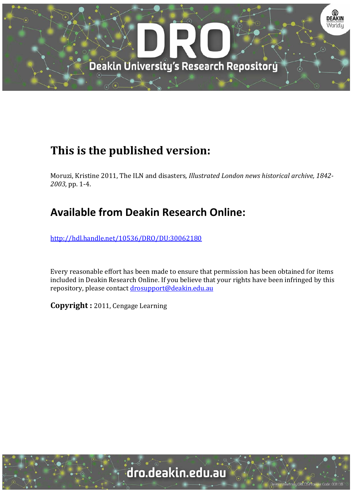

## **This is the published version:**

Moruzi, Kristine 2011, The ILN and disasters, *Illustrated London news historical archive, 1842*-*2003*, pp. 1‐4. 

### **Available from Deakin Research Online:**

http://hdl.handle.net/10536/DRO/DU:30062180

Every reasonable effort has been made to ensure that permission has been obtained for items included in Deakin Research Online. If you believe that your rights have been infringed by this repository, please contact drosupport@deakin.edu.au

**Copyright** : 2011, Cengage Learning

University CRICOS Provider Code: 00113E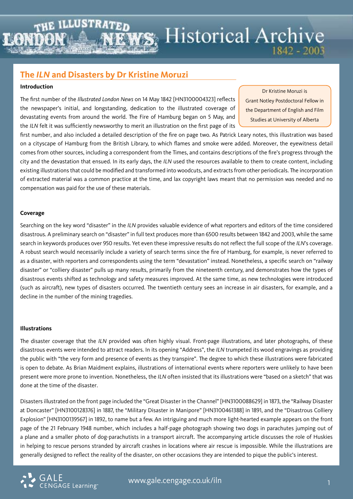# **WS** Historical Archive  $1842 - 2003$

### **The** *ILN* **and Disasters by Dr Kristine Moruzi**

### **Introduction**

The first number of the *Illustrated London News* on 14 May 1842 [HN3100004323] reflects the newspaper's initial, and longstanding, dedication to the illustrated coverage of devastating events from around the world. The Fire of Hamburg began on 5 May, and the *ILN* felt it was sufficiently newsworthy to merit an illustration on the first page of its

Dr Kristine Moruzi is Grant Notley Postdoctoral Fellow in the Department of English and Film Studies at University of Alberta

first number, and also included a detailed description of the fire on page two. As Patrick Leary notes, this illustration was based on a cityscape of Hamburg from the British Library, to which flames and smoke were added. Moreover, the eyewitness detail comes from other sources, including a correspondent from the Times, and contains descriptions of the fire's progress through the city and the devastation that ensued. In its early days, the *ILN* used the resources available to them to create content, including existing illustrations that could be modified and transformed into woodcuts, and extracts from other periodicals. The incorporation of extracted material was a common practice at the time, and lax copyright laws meant that no permission was needed and no compensation was paid for the use of these materials.

### **Coverage**

Searching on the key word "disaster" in the *ILN* provides valuable evidence of what reporters and editors of the time considered disastrous. A preliminary search on "disaster" in full text produces more than 6500 results between 1842 and 2003, while the same search in keywords produces over 950 results. Yet even these impressive results do not reflect the full scope of the *ILN*'s coverage. A robust search would necessarily include a variety of search terms since the fire of Hamburg, for example, is never referred to as a disaster, with reporters and correspondents using the term "devastation" instead. Nonetheless, a specific search on "railway disaster" or "colliery disaster" pulls up many results, primarily from the nineteenth century, and demonstrates how the types of disastrous events shifted as technology and safety measures improved. At the same time, as new technologies were introduced (such as aircraft), new types of disasters occurred. The twentieth century sees an increase in air disasters, for example, and a decline in the number of the mining tragedies.

### **Illustrations**

The disaster coverage that the *ILN* provided was often highly visual. Front-page illustrations, and later photographs, of these disastrous events were intended to attract readers. In its opening "Address", the *ILN* trumpeted its wood engravings as providing the public with "the very form and presence of events as they transpire". The degree to which these illustrations were fabricated is open to debate. As Brian Maidment explains, illustrations of international events where reporters were unlikely to have been present were more prone to invention. Nonetheless, the *ILN* often insisted that its illustrations were "based on a sketch" that was done at the time of the disaster.

Disasters illustrated on the front page included the "Great Disaster in the Channel" [HN3100088629] in 1873, the "Railway Disaster at Doncaster" [HN3100128376] in 1887, the "Military Disaster in Manipore" [HN3100461388] in 1891, and the "Disastrous Colliery Explosion" [HN3100139567] in 1892, to name but a few. An intriguing and much more light-hearted example appears on the front page of the 21 February 1948 number, which includes a half-page photograph showing two dogs in parachutes jumping out of a plane and a smaller photo of dog-parachutists in a transport aircraft. The accompanying article discusses the role of Huskies in helping to rescue persons stranded by aircraft crashes in locations where air rescue is impossible. While the illustrations are generally designed to reflect the reality of the disaster, on other occasions they are intended to pique the public's interest.

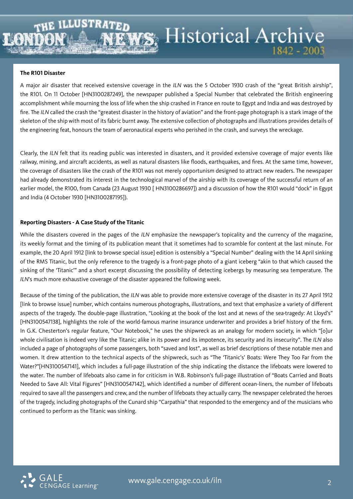# **Historical Archive**  $1842 - 2003$

### **The R101 Disaster**

A major air disaster that received extensive coverage in the *ILN* was the 5 October 1930 crash of the "great British airship", the R101. On 11 October [HN3100287249], the newspaper published a Special Number that celebrated the British engineering accomplishment while mourning the loss of life when the ship crashed in France en route to Egypt and India and was destroyed by fire. The *ILN* called the crash the "greatest disaster in the history of aviation" and the front-page photograph is a stark image of the skeleton of the ship with most of its fabric burnt away. The extensive collection of photographs and illustrations provides details of the engineering feat, honours the team of aeronautical experts who perished in the crash, and surveys the wreckage.

Clearly, the *ILN* felt that its reading public was interested in disasters, and it provided extensive coverage of major events like railway, mining, and aircraft accidents, as well as natural disasters like floods, earthquakes, and fires. At the same time, however, the coverage of disasters like the crash of the R101 was not merely opportunism designed to attract new readers. The newspaper had already demonstrated its interest in the technological marvel of the airship with its coverage of the successful return of an earlier model, the R100, from Canada (23 August 1930 [ HN3100286697]) and a discussion of how the R101 would "dock" in Egypt and India (4 October 1930 [HN3100287195]).

### **Reporting Disasters - A Case Study of the Titanic**

While the disasters covered in the pages of the *ILN* emphasize the newspaper's topicality and the currency of the magazine, its weekly format and the timing of its publication meant that it sometimes had to scramble for content at the last minute. For example, the 20 April 1912 [link to browse special issue] edition is ostensibly a "Special Number" dealing with the 14 April sinking of the RMS Titanic, but the only reference to the tragedy is a front-page photo of a giant iceberg "akin to that which caused the sinking of the 'Titanic'" and a short excerpt discussing the possibility of detecting icebergs by measuring sea temperature. The *ILN*'s much more exhaustive coverage of the disaster appeared the following week.

Because of the timing of the publication, the *ILN* was able to provide more extensive coverage of the disaster in its 27 April 1912 [link to browse issue] number, which contains numerous photographs, illustrations, and text that emphasize a variety of different aspects of the tragedy. The double-page illustration, "Looking at the book of the lost and at news of the sea-tragedy: At Lloyd's" [HN3100547138], highlights the role of the world-famous marine insurance underwriter and provides a brief history of the firm. In G.K. Chesterton's regular feature, "Our Notebook," he uses the shipwreck as an analogy for modern society, in which "[o]ur whole civilisation is indeed very like the Titanic; alike in its power and its impotence, its security and its insecurity". The *ILN* also included a page of photographs of some passengers, both "saved and lost", as well as brief descriptions of these notable men and women. It drew attention to the technical aspects of the shipwreck, such as "The 'Titanic's' Boats: Were They Too Far from the Water?"[HN3100547141], which includes a full-page illustration of the ship indicating the distance the lifeboats were lowered to the water. The number of lifeboats also came in for criticism in W.B. Robinson's full-page illustration of "Boats Carried and Boats Needed to Save All: Vital Figures" [HN3100547142], which identified a number of different ocean-liners, the number of lifeboats required to save all the passengers and crew, and the number of lifeboats they actually carry. The newspaper celebrated the heroes of the tragedy, including photographs of the Cunard ship "Carpathia" that responded to the emergency and of the musicians who continued to perform as the Titanic was sinking.

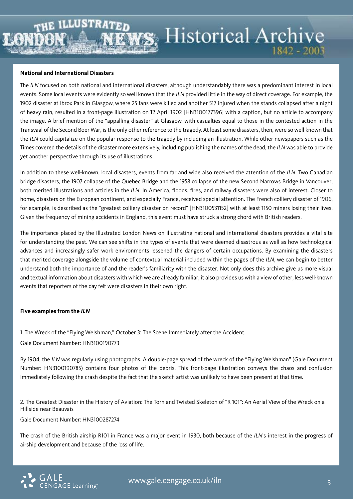### **National and International Disasters**

The *ILN* focused on both national and international disasters, although understandably there was a predominant interest in local events. Some local events were evidently so well known that the *ILN* provided little in the way of direct coverage. For example, the 1902 disaster at Ibrox Park in Glasgow, where 25 fans were killed and another 517 injured when the stands collapsed after a night of heavy rain, resulted in a front-page illustration on 12 April 1902 [HN3100177396] with a caption, but no article to accompany the image. A brief mention of the "appalling disaster" at Glasgow, with casualties equal to those in the contested action in the Transvaal of the Second Boer War, is the only other reference to the tragedy. At least some disasters, then, were so well known that the *ILN* could capitalize on the popular response to the tragedy by including an illustration. While other newspapers such as the Times covered the details of the disaster more extensively, including publishing the names of the dead, the *ILN* was able to provide yet another perspective through its use of illustrations.

In addition to these well-known, local disasters, events from far and wide also received the attention of the *ILN*. Two Canadian bridge disasters, the 1907 collapse of the Quebec Bridge and the 1958 collapse of the new Second Narrows Bridge in Vancouver, both merited illustrations and articles in the *ILN*. In America, floods, fires, and railway disasters were also of interest. Closer to home, disasters on the European continent, and especially France, received special attention. The French colliery disaster of 1906, for example, is described as the "greatest colliery disaster on record" [HN3100531152] with at least 1150 miners losing their lives. Given the frequency of mining accidents in England, this event must have struck a strong chord with British readers.

The importance placed by the Illustrated London News on illustrating national and international disasters provides a vital site for understanding the past. We can see shifts in the types of events that were deemed disastrous as well as how technological advances and increasingly safer work environments lessened the dangers of certain occupations. By examining the disasters that merited coverage alongside the volume of contextual material included within the pages of the *ILN*, we can begin to better understand both the importance of and the reader's familiarity with the disaster. Not only does this archive give us more visual and textual information about disasters with which we are already familiar, it also provides us with a view of other, less well-known events that reporters of the day felt were disasters in their own right.

#### **Five examples from the** *ILN*

1. The Wreck of the "Flying Welshman," October 3: The Scene Immediately after the Accident. Gale Document Number: HN3100190773

By 1904, the *ILN* was regularly using photographs. A double-page spread of the wreck of the "Flying Welshman" (Gale Document Number: HN3100190785) contains four photos of the debris. This front-page illustration conveys the chaos and confusion immediately following the crash despite the fact that the sketch artist was unlikely to have been present at that time.

2. The Greatest Disaster in the History of Aviation: The Torn and Twisted Skeleton of "R 101": An Aerial View of the Wreck on a Hillside near Beauvais

### Gale Document Number: HN3100287274

The crash of the British airship R101 in France was a major event in 1930, both because of the *ILN*'s interest in the progress of airship development and because of the loss of life.



1842 - 2003